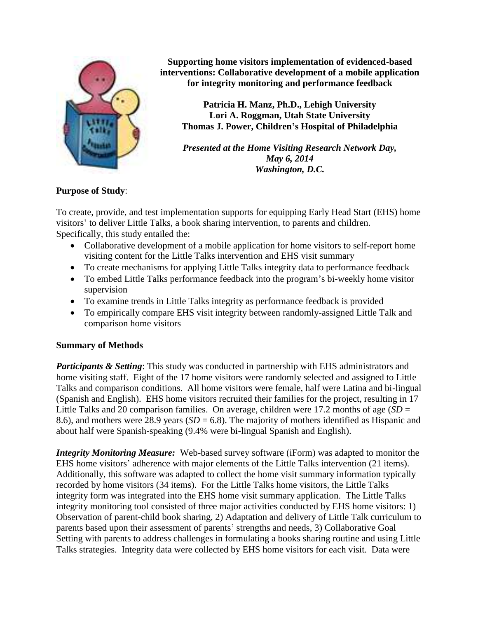

**Supporting home visitors implementation of evidenced-based interventions: Collaborative development of a mobile application for integrity monitoring and performance feedback**

**Patricia H. Manz, Ph.D., Lehigh University Lori A. Roggman, Utah State University Thomas J. Power, Children's Hospital of Philadelphia**

*Presented at the Home Visiting Research Network Day, May 6, 2014 Washington, D.C.*

## **Purpose of Study**:

To create, provide, and test implementation supports for equipping Early Head Start (EHS) home visitors' to deliver Little Talks, a book sharing intervention, to parents and children. Specifically, this study entailed the:

- Collaborative development of a mobile application for home visitors to self-report home visiting content for the Little Talks intervention and EHS visit summary
- To create mechanisms for applying Little Talks integrity data to performance feedback
- To embed Little Talks performance feedback into the program's bi-weekly home visitor supervision
- To examine trends in Little Talks integrity as performance feedback is provided
- To empirically compare EHS visit integrity between randomly-assigned Little Talk and comparison home visitors

## **Summary of Methods**

*Participants & Setting*: This study was conducted in partnership with EHS administrators and home visiting staff. Eight of the 17 home visitors were randomly selected and assigned to Little Talks and comparison conditions. All home visitors were female, half were Latina and bi-lingual (Spanish and English). EHS home visitors recruited their families for the project, resulting in 17 Little Talks and 20 comparison families. On average, children were 17.2 months of age (*SD* = 8.6), and mothers were 28.9 years  $(SD = 6.8)$ . The majority of mothers identified as Hispanic and about half were Spanish-speaking (9.4% were bi-lingual Spanish and English).

*Integrity Monitoring Measure:* Web-based survey software (iForm) was adapted to monitor the EHS home visitors' adherence with major elements of the Little Talks intervention (21 items). Additionally, this software was adapted to collect the home visit summary information typically recorded by home visitors (34 items). For the Little Talks home visitors, the Little Talks integrity form was integrated into the EHS home visit summary application. The Little Talks integrity monitoring tool consisted of three major activities conducted by EHS home visitors: 1) Observation of parent-child book sharing, 2) Adaptation and delivery of Little Talk curriculum to parents based upon their assessment of parents' strengths and needs, 3) Collaborative Goal Setting with parents to address challenges in formulating a books sharing routine and using Little Talks strategies. Integrity data were collected by EHS home visitors for each visit. Data were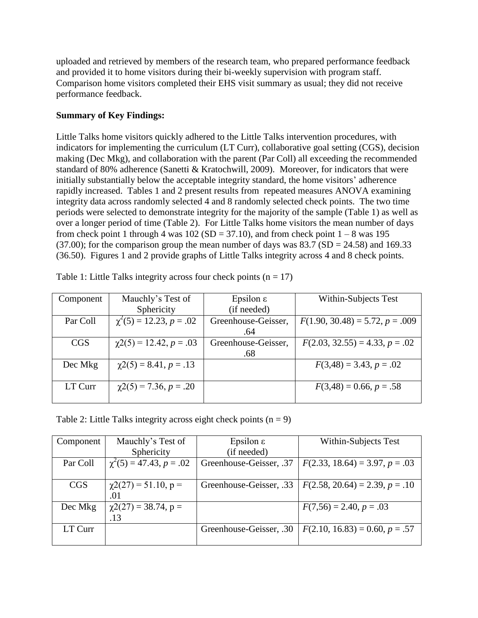uploaded and retrieved by members of the research team, who prepared performance feedback and provided it to home visitors during their bi-weekly supervision with program staff. Comparison home visitors completed their EHS visit summary as usual; they did not receive performance feedback.

# **Summary of Key Findings:**

Little Talks home visitors quickly adhered to the Little Talks intervention procedures, with indicators for implementing the curriculum (LT Curr), collaborative goal setting (CGS), decision making (Dec Mkg), and collaboration with the parent (Par Coll) all exceeding the recommended standard of 80% adherence (Sanetti & Kratochwill, 2009). Moreover, for indicators that were initially substantially below the acceptable integrity standard, the home visitors' adherence rapidly increased. Tables 1 and 2 present results from repeated measures ANOVA examining integrity data across randomly selected 4 and 8 randomly selected check points. The two time periods were selected to demonstrate integrity for the majority of the sample (Table 1) as well as over a longer period of time (Table 2). For Little Talks home visitors the mean number of days from check point 1 through 4 was  $102 (SD = 37.10)$ , and from check point  $1 - 8$  was 195 (37.00); for the comparison group the mean number of days was  $83.7$  (SD = 24.58) and 169.33 (36.50). Figures 1 and 2 provide graphs of Little Talks integrity across 4 and 8 check points.

| Component  | Mauchly's Test of            | Epsilon $\varepsilon$ | Within-Subjects Test              |
|------------|------------------------------|-----------------------|-----------------------------------|
|            | Sphericity                   | (if needed)           |                                   |
| Par Coll   | $\chi^2(5) = 12.23, p = .02$ | Greenhouse-Geisser,   | $F(1.90, 30.48) = 5.72, p = .009$ |
|            |                              | .64                   |                                   |
| <b>CGS</b> | $\chi$ 2(5) = 12.42, p = .03 | Greenhouse-Geisser,   | $F(2.03, 32.55) = 4.33, p = .02$  |
|            |                              | .68                   |                                   |
| Dec Mkg    | $\chi$ 2(5) = 8.41, p = .13  |                       | $F(3,48) = 3.43, p = .02$         |
|            |                              |                       |                                   |
| LT Curr    | $\chi$ 2(5) = 7.36, p = .20  |                       | $F(3,48) = 0.66, p = .58$         |
|            |                              |                       |                                   |

Table 1: Little Talks integrity across four check points  $(n = 17)$ 

Table 2: Little Talks integrity across eight check points  $(n = 9)$ 

| Component  | Mauchly's Test of            | Epsilon $\varepsilon$   | Within-Subjects Test             |
|------------|------------------------------|-------------------------|----------------------------------|
|            | Sphericity                   | (if needed)             |                                  |
| Par Coll   | $\chi^2(5) = 47.43, p = .02$ | Greenhouse-Geisser, .37 | $F(2.33, 18.64) = 3.97, p = .03$ |
|            |                              |                         |                                  |
| <b>CGS</b> | $\chi$ 2(27) = 51.10, p =    | Greenhouse-Geisser, .33 | $F(2.58, 20.64) = 2.39, p = .10$ |
|            | .01                          |                         |                                  |
| Dec Mkg    | $\chi$ 2(27) = 38.74, p =    |                         | $F(7,56) = 2.40, p = .03$        |
|            | .13                          |                         |                                  |
| LT Curr    |                              | Greenhouse-Geisser, .30 | $F(2.10, 16.83) = 0.60, p = .57$ |
|            |                              |                         |                                  |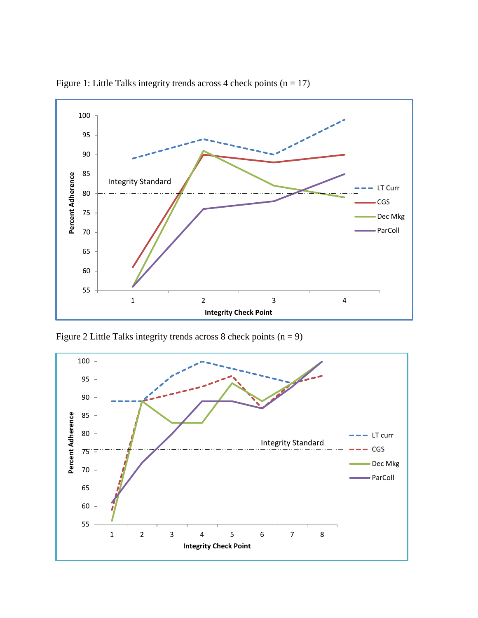

Figure 1: Little Talks integrity trends across 4 check points  $(n = 17)$ 

Figure 2 Little Talks integrity trends across 8 check points  $(n = 9)$ 

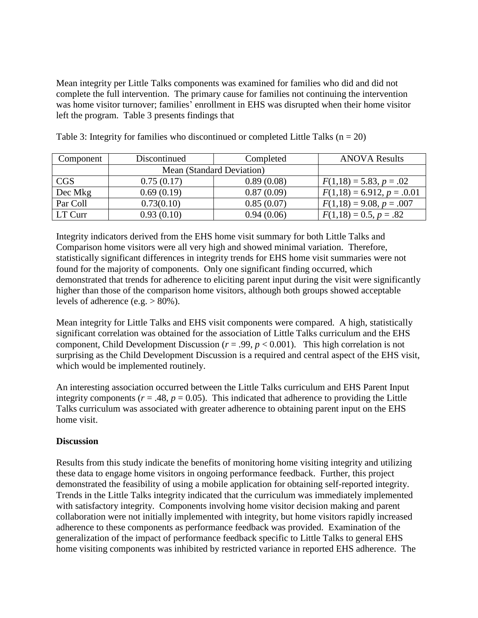Mean integrity per Little Talks components was examined for families who did and did not complete the full intervention. The primary cause for families not continuing the intervention was home visitor turnover; families' enrollment in EHS was disrupted when their home visitor left the program. Table 3 presents findings that

| Component  | Discontinued              | Completed  | <b>ANOVA Results</b>         |
|------------|---------------------------|------------|------------------------------|
|            | Mean (Standard Deviation) |            |                              |
| <b>CGS</b> | 0.75(0.17)                | 0.89(0.08) | $F(1,18) = 5.83, p = .02$    |
| Dec Mkg    | 0.69(0.19)                | 0.87(0.09) | $F(1,18) = 6.912, p = .0.01$ |
| Par Coll   | 0.73(0.10)                | 0.85(0.07) | $F(1,18) = 9.08, p = .007$   |
| LT Curr    | 0.93(0.10)                | 0.94(0.06) | $F(1,18) = 0.5, p = .82$     |

Table 3: Integrity for families who discontinued or completed Little Talks ( $n = 20$ )

Integrity indicators derived from the EHS home visit summary for both Little Talks and Comparison home visitors were all very high and showed minimal variation. Therefore, statistically significant differences in integrity trends for EHS home visit summaries were not found for the majority of components. Only one significant finding occurred, which demonstrated that trends for adherence to eliciting parent input during the visit were significantly higher than those of the comparison home visitors, although both groups showed acceptable levels of adherence (e.g.  $> 80\%$ ).

Mean integrity for Little Talks and EHS visit components were compared. A high, statistically significant correlation was obtained for the association of Little Talks curriculum and the EHS component, Child Development Discussion ( $r = .99$ ,  $p < 0.001$ ). This high correlation is not surprising as the Child Development Discussion is a required and central aspect of the EHS visit, which would be implemented routinely.

An interesting association occurred between the Little Talks curriculum and EHS Parent Input integrity components ( $r = .48$ ,  $p = 0.05$ ). This indicated that adherence to providing the Little Talks curriculum was associated with greater adherence to obtaining parent input on the EHS home visit.

#### **Discussion**

Results from this study indicate the benefits of monitoring home visiting integrity and utilizing these data to engage home visitors in ongoing performance feedback. Further, this project demonstrated the feasibility of using a mobile application for obtaining self-reported integrity. Trends in the Little Talks integrity indicated that the curriculum was immediately implemented with satisfactory integrity. Components involving home visitor decision making and parent collaboration were not initially implemented with integrity, but home visitors rapidly increased adherence to these components as performance feedback was provided. Examination of the generalization of the impact of performance feedback specific to Little Talks to general EHS home visiting components was inhibited by restricted variance in reported EHS adherence. The